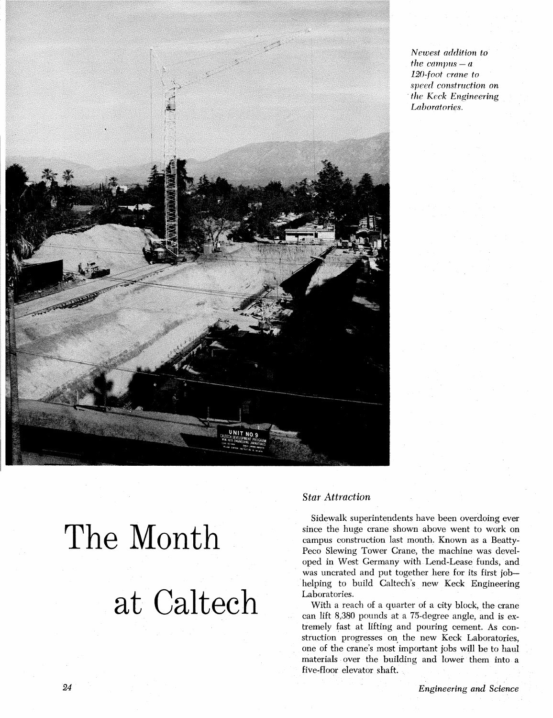

*Newest addition to the campus*  $- a$ *120-foot crane to*  speed *construction on the Keck Engineering Laboratories.* 

# The Month at Caltech

# *Star Attraction*

Sidewalk superintendents have been overdoing ever since the huge crane shown above went to work on campus construction last month. Known as a Beatty-Peco Slewing Tower Crane, the machine was developed in West Germany with Lend-Lease funds, and was uncrated and put together here for its first jobhelping to build Caltech's new Keck Engineering Laboratories.

With a reach of a quarter of a city block, the crane can lift 8,380 pounds at a 75-degree angle, and is extremely fast at lifting and pouring cement. As construction progresses on the new Keck Laboratories, one of the crane's most important jobs will be to haul materials over the building and lower them into a five-floor elevator shaft.